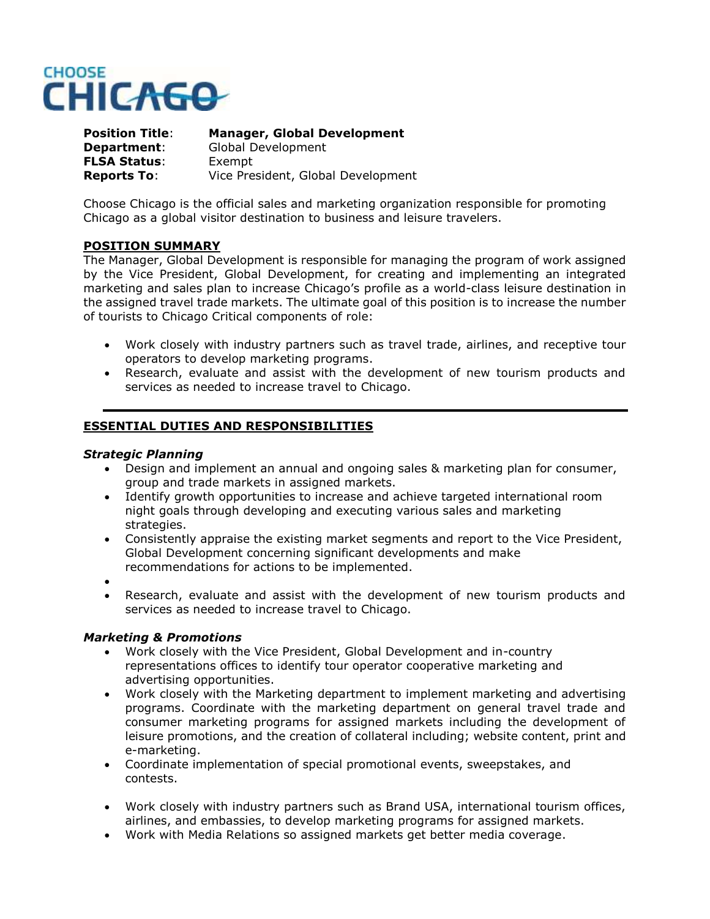

**Position Title**: **Manager, Global Development Department**: Global Development **FLSA Status**: Exempt **Reports To**: Vice President, Global Development

Choose Chicago is the official sales and marketing organization responsible for promoting Chicago as a global visitor destination to business and leisure travelers.

#### **POSITION SUMMARY**

The Manager, Global Development is responsible for managing the program of work assigned by the Vice President, Global Development, for creating and implementing an integrated marketing and sales plan to increase Chicago's profile as a world-class leisure destination in the assigned travel trade markets. The ultimate goal of this position is to increase the number of tourists to Chicago Critical components of role:

- Work closely with industry partners such as travel trade, airlines, and receptive tour operators to develop marketing programs.
- Research, evaluate and assist with the development of new tourism products and services as needed to increase travel to Chicago.

## **ESSENTIAL DUTIES AND RESPONSIBILITIES**

#### *Strategic Planning*

- Design and implement an annual and ongoing sales & marketing plan for consumer, group and trade markets in assigned markets.
- Identify growth opportunities to increase and achieve targeted international room night goals through developing and executing various sales and marketing strategies.
- Consistently appraise the existing market segments and report to the Vice President, Global Development concerning significant developments and make recommendations for actions to be implemented.
- $\bullet$
- Research, evaluate and assist with the development of new tourism products and services as needed to increase travel to Chicago.

#### *Marketing & Promotions*

- Work closely with the Vice President, Global Development and in-country representations offices to identify tour operator cooperative marketing and advertising opportunities.
- Work closely with the Marketing department to implement marketing and advertising programs. Coordinate with the marketing department on general travel trade and consumer marketing programs for assigned markets including the development of leisure promotions, and the creation of collateral including; website content, print and e-marketing.
- Coordinate implementation of special promotional events, sweepstakes, and contests.
- Work closely with industry partners such as Brand USA, international tourism offices, airlines, and embassies, to develop marketing programs for assigned markets.
- Work with Media Relations so assigned markets get better media coverage.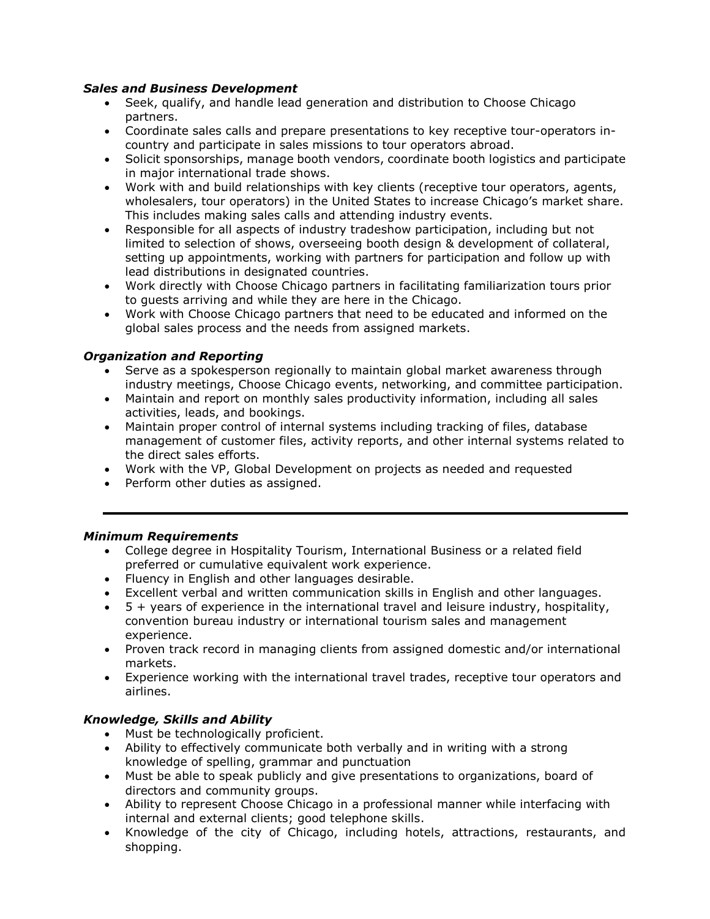# *Sales and Business Development*

- Seek, qualify, and handle lead generation and distribution to Choose Chicago partners.
- Coordinate sales calls and prepare presentations to key receptive tour-operators incountry and participate in sales missions to tour operators abroad.
- Solicit sponsorships, manage booth vendors, coordinate booth logistics and participate in major international trade shows.
- Work with and build relationships with key clients (receptive tour operators, agents, wholesalers, tour operators) in the United States to increase Chicago's market share. This includes making sales calls and attending industry events.
- Responsible for all aspects of industry tradeshow participation, including but not limited to selection of shows, overseeing booth design & development of collateral, setting up appointments, working with partners for participation and follow up with lead distributions in designated countries.
- Work directly with Choose Chicago partners in facilitating familiarization tours prior to guests arriving and while they are here in the Chicago.
- Work with Choose Chicago partners that need to be educated and informed on the global sales process and the needs from assigned markets.

# *Organization and Reporting*

- Serve as a spokesperson regionally to maintain global market awareness through industry meetings, Choose Chicago events, networking, and committee participation.
- Maintain and report on monthly sales productivity information, including all sales activities, leads, and bookings.
- Maintain proper control of internal systems including tracking of files, database management of customer files, activity reports, and other internal systems related to the direct sales efforts.
- Work with the VP, Global Development on projects as needed and requested
- Perform other duties as assigned.

## *Minimum Requirements*

- College degree in Hospitality Tourism, International Business or a related field preferred or cumulative equivalent work experience.
- Fluency in English and other languages desirable.
- Excellent verbal and written communication skills in English and other languages.
- $\bullet$  5 + years of experience in the international travel and leisure industry, hospitality, convention bureau industry or international tourism sales and management experience.
- Proven track record in managing clients from assigned domestic and/or international markets.
- Experience working with the international travel trades, receptive tour operators and airlines.

## *Knowledge, Skills and Ability*

- Must be technologically proficient.
- Ability to effectively communicate both verbally and in writing with a strong knowledge of spelling, grammar and punctuation
- Must be able to speak publicly and give presentations to organizations, board of directors and community groups.
- Ability to represent Choose Chicago in a professional manner while interfacing with internal and external clients; good telephone skills.
- Knowledge of the city of Chicago, including hotels, attractions, restaurants, and shopping.